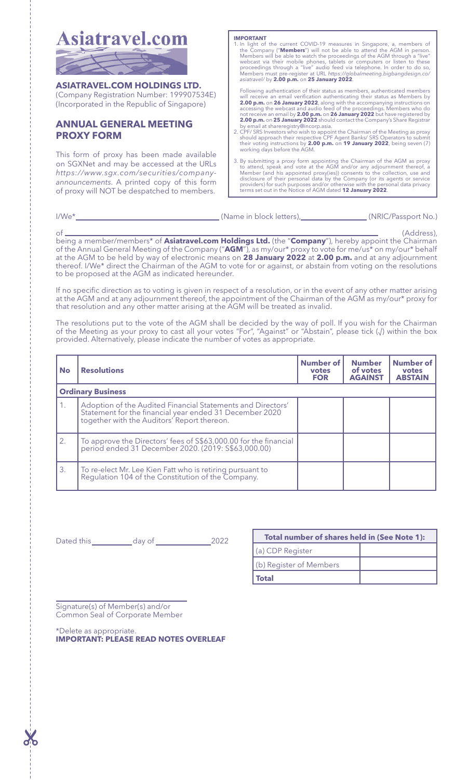

**ASIATRAVEL.COM HOLDINGS LTD.** (Company Registration Number: 199907534E) (Incorporated in the Republic of Singapore)

# **ANNUAL GENERAL MEETING PROXY FORM**

This form of proxy has been made available on SGXNet and may be accessed at the URLs *https://www.sgx.com/securities/companyannouncements*. A printed copy of this form of proxy will NOT be despatched to members.

**IMPORTANT**<br> **I.** In light of the current COVID-19 measures in Singapore, a, members of<br>
the Company (**"Members"**) will not be able to attend the AGM in person.<br>
Members will be able to watch the proceedings of the AGM thr *asiatravel/* by **2.00 p.m.** on **25 January 2022**.

Following authentication of their status as members, authenticated members will receive an email verification authenticating their status as Members by<br>2.00 p.m. on 26 January 2022, along with the accompanying instructions on<br>accessing the webcast and audio feed of the proceedings. Members who do

by email at shareregistry@incorp.asia.<br>2. CPF/ SRS Investors who wish to appoint the Chairman of the Meeting as proxy<br>should approach their respective CPF Agent Banks/ SRS Operators to submit<br>their voting instructions by

3. By submitting a proxy form appointing the Chairman of the AGM as proxy to attend, speak and vote at the AGM and/or any adjournment thereof, a Member (and his appointed proxy(ies)) consents to the collection, use and di Instance of their personal data by the Company (of the personalistics) for such purposes and/or otherwise with the pers<br>terms set out in the Notice of AGM dated **12 January 2022.** 

| $1/We^*$ | (Name in block letters).<br>(NRIC/Passport No.)                                                                      |
|----------|----------------------------------------------------------------------------------------------------------------------|
| nt.      | (Address).                                                                                                           |
|          | being a member/members* of <b>Asiatravel.com Holdings Ltd.</b> (the " <b>Company</b> "), hereby appoint the Chairman |
|          | of the Annual General Meeting of the Company ("AGM"), as my/our* proxy to vote for me/us* on my/our* behalf          |

of the Annual General Meeting of the Company ("**AGM**"), as my/our\* proxy to vote for me/us\* on my/our\* behalf<br>at the AGM to be held by way of electronic means on **28 January 2022** at **2.00 p.m.** and at any adjournment thereof. I/We\* direct the Chairman of the AGM to vote for or against, or abstain from voting on the resolutions to be proposed at the AGM as indicated hereunder.

If no specific direction as to voting is given in respect of a resolution, or in the event of any other matter arising at the AGM and at any adjournment thereof, the appointment of the Chairman of the AGM as my/our\* proxy for that resolution and any other matter arising at the AGM will be treated as invalid.

The resolutions put to the vote of the AGM shall be decided by the way of poll. If you wish for the Chairman of the Meeting as your proxy to cast all your votes "For", "Against" or "Abstain", please tick (√) within the box provided. Alternatively, please indicate the number of votes as appropriate.

| <b>No</b>                | <b>Resolutions</b>                                                                                                                                                    | <b>Number of</b><br>votes<br><b>FOR</b> | <b>Number</b><br>of votes<br><b>AGAINST</b> | Number of<br>votes<br><b>ABSTAIN</b> |  |
|--------------------------|-----------------------------------------------------------------------------------------------------------------------------------------------------------------------|-----------------------------------------|---------------------------------------------|--------------------------------------|--|
| <b>Ordinary Business</b> |                                                                                                                                                                       |                                         |                                             |                                      |  |
| 1.                       | Adoption of the Audited Financial Statements and Directors'<br>Statement for the financial year ended 31 December 2020<br>together with the Auditors' Report thereon. |                                         |                                             |                                      |  |
| 2.                       | To approve the Directors' fees of \$\$63,000.00 for the financial<br>  period ended 31 December 2020. (2019: \$\$63,000.00)                                           |                                         |                                             |                                      |  |
| 3.                       | To re-elect Mr. Lee Kien Fatt who is retiring pursuant to<br>Regulation 104 of the Constitution of the Company.                                                       |                                         |                                             |                                      |  |

Dated this day of 2022

| Total number of shares held in (See Note 1): |  |  |  |  |
|----------------------------------------------|--|--|--|--|
| (a) CDP Register                             |  |  |  |  |
| (b) Register of Members                      |  |  |  |  |
| 'otal                                        |  |  |  |  |

Signature(s) of Member(s) and/or Common Seal of Corporate Member

\*Delete as appropriate. **IMPORTANT: PLEASE READ NOTES OVERLEAF**